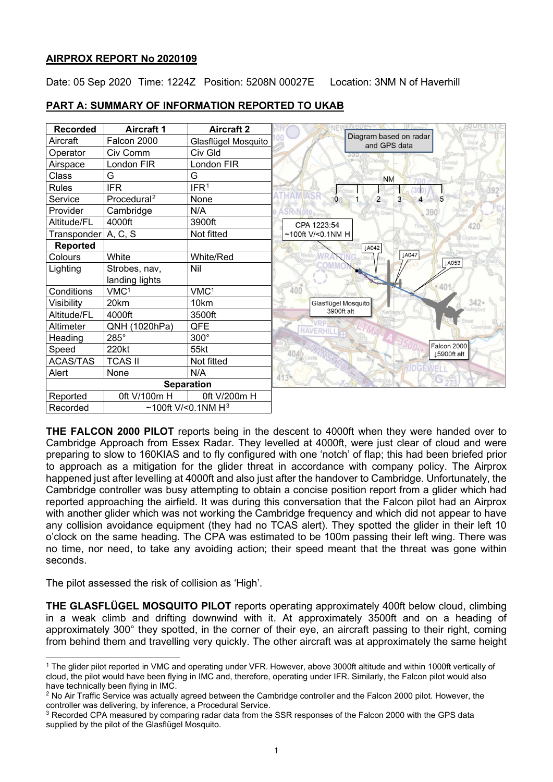# **AIRPROX REPORT No 2020109**

Date: 05 Sep 2020 Time: 1224Z Position: 5208N 00027E Location: 3NM N of Haverhill



# **PART A: SUMMARY OF INFORMATION REPORTED TO UKAB**

**THE FALCON 2000 PILOT** reports being in the descent to 4000ft when they were handed over to Cambridge Approach from Essex Radar. They levelled at 4000ft, were just clear of cloud and were preparing to slow to 160KIAS and to fly configured with one 'notch' of flap; this had been briefed prior to approach as a mitigation for the glider threat in accordance with company policy. The Airprox happened just after levelling at 4000ft and also just after the handover to Cambridge. Unfortunately, the Cambridge controller was busy attempting to obtain a concise position report from a glider which had reported approaching the airfield. It was during this conversation that the Falcon pilot had an Airprox with another glider which was not working the Cambridge frequency and which did not appear to have any collision avoidance equipment (they had no TCAS alert). They spotted the glider in their left 10 o'clock on the same heading. The CPA was estimated to be 100m passing their left wing. There was no time, nor need, to take any avoiding action; their speed meant that the threat was gone within seconds.

The pilot assessed the risk of collision as 'High'.

**THE GLASFLÜGEL MOSQUITO PILOT** reports operating approximately 400ft below cloud, climbing in a weak climb and drifting downwind with it. At approximately 3500ft and on a heading of approximately 300° they spotted, in the corner of their eye, an aircraft passing to their right, coming from behind them and travelling very quickly. The other aircraft was at approximately the same height

<span id="page-0-0"></span><sup>&</sup>lt;sup>1</sup> The glider pilot reported in VMC and operating under VFR. However, above 3000ft altitude and within 1000ft vertically of cloud, the pilot would have been flying in IMC and, therefore, operating under IFR. Similarly, the Falcon pilot would also have technically been flying in IMC.

<span id="page-0-1"></span><sup>&</sup>lt;sup>2</sup> No Air Traffic Service was actually agreed between the Cambridge controller and the Falcon 2000 pilot. However, the controller was delivering, by inference, a Procedural Service.

<span id="page-0-2"></span><sup>&</sup>lt;sup>3</sup> Recorded CPA measured by comparing radar data from the SSR responses of the Falcon 2000 with the GPS data supplied by the pilot of the Glasflügel Mosquito.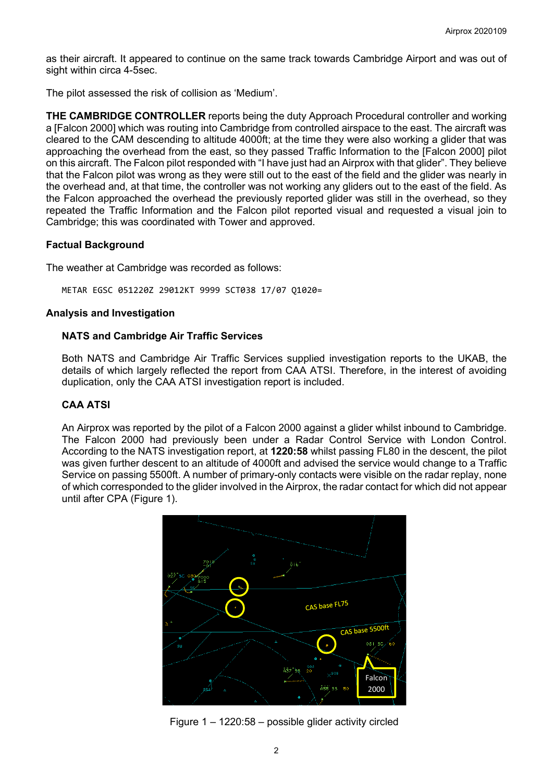as their aircraft. It appeared to continue on the same track towards Cambridge Airport and was out of sight within circa 4-5sec.

The pilot assessed the risk of collision as 'Medium'.

**THE CAMBRIDGE CONTROLLER** reports being the duty Approach Procedural controller and working a [Falcon 2000] which was routing into Cambridge from controlled airspace to the east. The aircraft was cleared to the CAM descending to altitude 4000ft; at the time they were also working a glider that was approaching the overhead from the east, so they passed Traffic Information to the [Falcon 2000] pilot on this aircraft. The Falcon pilot responded with "I have just had an Airprox with that glider". They believe that the Falcon pilot was wrong as they were still out to the east of the field and the glider was nearly in the overhead and, at that time, the controller was not working any gliders out to the east of the field. As the Falcon approached the overhead the previously reported glider was still in the overhead, so they repeated the Traffic Information and the Falcon pilot reported visual and requested a visual join to Cambridge; this was coordinated with Tower and approved.

# **Factual Background**

The weather at Cambridge was recorded as follows:

METAR EGSC 051220Z 29012KT 9999 SCT038 17/07 Q1020=

# **Analysis and Investigation**

## **NATS and Cambridge Air Traffic Services**

Both NATS and Cambridge Air Traffic Services supplied investigation reports to the UKAB, the details of which largely reflected the report from CAA ATSI. Therefore, in the interest of avoiding duplication, only the CAA ATSI investigation report is included.

# **CAA ATSI**

An Airprox was reported by the pilot of a Falcon 2000 against a glider whilst inbound to Cambridge. The Falcon 2000 had previously been under a Radar Control Service with London Control. According to the NATS investigation report, at **1220:58** whilst passing FL80 in the descent, the pilot was given further descent to an altitude of 4000ft and advised the service would change to a Traffic Service on passing 5500ft. A number of primary-only contacts were visible on the radar replay, none of which corresponded to the glider involved in the Airprox, the radar contact for which did not appear until after CPA (Figure 1).



Figure 1 – 1220:58 – possible glider activity circled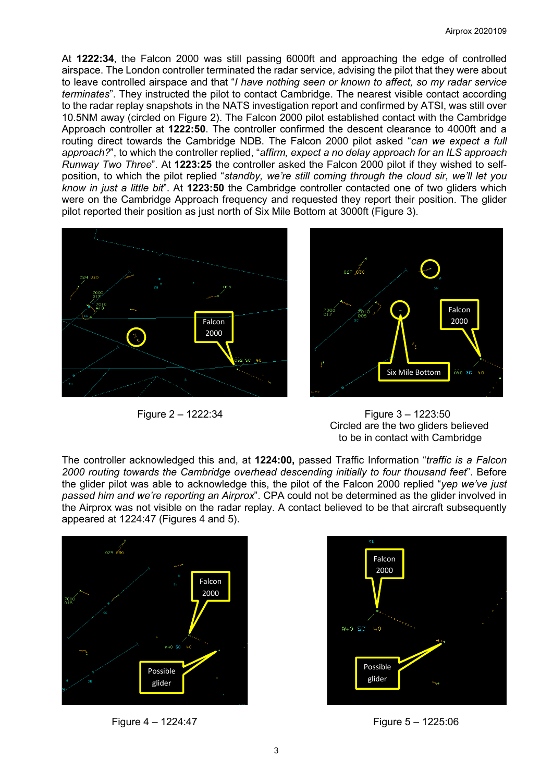At **1222:34**, the Falcon 2000 was still passing 6000ft and approaching the edge of controlled airspace. The London controller terminated the radar service, advising the pilot that they were about to leave controlled airspace and that "*I have nothing seen or known to affect, so my radar service terminates*". They instructed the pilot to contact Cambridge. The nearest visible contact according to the radar replay snapshots in the NATS investigation report and confirmed by ATSI, was still over 10.5NM away (circled on Figure 2). The Falcon 2000 pilot established contact with the Cambridge Approach controller at **1222:50**. The controller confirmed the descent clearance to 4000ft and a routing direct towards the Cambridge NDB. The Falcon 2000 pilot asked "*can we expect a full approach?*", to which the controller replied, "*affirm, expect a no delay approach for an ILS approach Runway Two Three*". At **1223:25** the controller asked the Falcon 2000 pilot if they wished to selfposition, to which the pilot replied "*standby, we're still coming through the cloud sir, we'll let you know in just a little bit*". At **1223:50** the Cambridge controller contacted one of two gliders which were on the Cambridge Approach frequency and requested they report their position. The glider pilot reported their position as just north of Six Mile Bottom at 3000ft (Figure 3).





 Figure 2 – 1222:34 Figure 3 – 1223:50 Circled are the two gliders believed to be in contact with Cambridge

The controller acknowledged this and, at **1224:00,** passed Traffic Information "*traffic is a Falcon 2000 routing towards the Cambridge overhead descending initially to four thousand feet*". Before the glider pilot was able to acknowledge this, the pilot of the Falcon 2000 replied "*yep we've just passed him and we're reporting an Airprox*". CPA could not be determined as the glider involved in the Airprox was not visible on the radar replay. A contact believed to be that aircraft subsequently appeared at 1224:47 (Figures 4 and 5).





Figure 4 – 1224:47 Figure 5 – 1225:06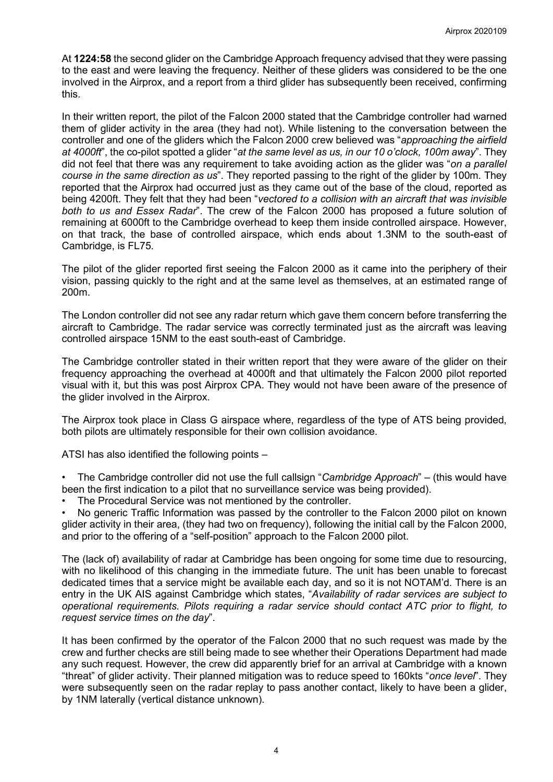At **1224:58** the second glider on the Cambridge Approach frequency advised that they were passing to the east and were leaving the frequency. Neither of these gliders was considered to be the one involved in the Airprox, and a report from a third glider has subsequently been received, confirming this.

In their written report, the pilot of the Falcon 2000 stated that the Cambridge controller had warned them of glider activity in the area (they had not). While listening to the conversation between the controller and one of the gliders which the Falcon 2000 crew believed was "*approaching the airfield at 4000ft*", the co-pilot spotted a glider "*at the same level as us, in our 10 o'clock, 100m away*". They did not feel that there was any requirement to take avoiding action as the glider was "*on a parallel course in the same direction as us*". They reported passing to the right of the glider by 100m. They reported that the Airprox had occurred just as they came out of the base of the cloud, reported as being 4200ft. They felt that they had been "*vectored to a collision with an aircraft that was invisible both to us and Essex Radar*". The crew of the Falcon 2000 has proposed a future solution of remaining at 6000ft to the Cambridge overhead to keep them inside controlled airspace. However, on that track, the base of controlled airspace, which ends about 1.3NM to the south-east of Cambridge, is FL75.

The pilot of the glider reported first seeing the Falcon 2000 as it came into the periphery of their vision, passing quickly to the right and at the same level as themselves, at an estimated range of 200m.

The London controller did not see any radar return which gave them concern before transferring the aircraft to Cambridge. The radar service was correctly terminated just as the aircraft was leaving controlled airspace 15NM to the east south-east of Cambridge.

The Cambridge controller stated in their written report that they were aware of the glider on their frequency approaching the overhead at 4000ft and that ultimately the Falcon 2000 pilot reported visual with it, but this was post Airprox CPA. They would not have been aware of the presence of the glider involved in the Airprox.

The Airprox took place in Class G airspace where, regardless of the type of ATS being provided, both pilots are ultimately responsible for their own collision avoidance.

ATSI has also identified the following points –

- The Cambridge controller did not use the full callsign "*Cambridge Approach*" (this would have been the first indication to a pilot that no surveillance service was being provided).
- The Procedural Service was not mentioned by the controller.

• No generic Traffic Information was passed by the controller to the Falcon 2000 pilot on known glider activity in their area, (they had two on frequency), following the initial call by the Falcon 2000, and prior to the offering of a "self-position" approach to the Falcon 2000 pilot.

The (lack of) availability of radar at Cambridge has been ongoing for some time due to resourcing, with no likelihood of this changing in the immediate future. The unit has been unable to forecast dedicated times that a service might be available each day, and so it is not NOTAM'd. There is an entry in the UK AIS against Cambridge which states, "*Availability of radar services are subject to operational requirements. Pilots requiring a radar service should contact ATC prior to flight, to request service times on the day*".

It has been confirmed by the operator of the Falcon 2000 that no such request was made by the crew and further checks are still being made to see whether their Operations Department had made any such request. However, the crew did apparently brief for an arrival at Cambridge with a known "threat" of glider activity. Their planned mitigation was to reduce speed to 160kts "*once level*". They were subsequently seen on the radar replay to pass another contact, likely to have been a glider, by 1NM laterally (vertical distance unknown).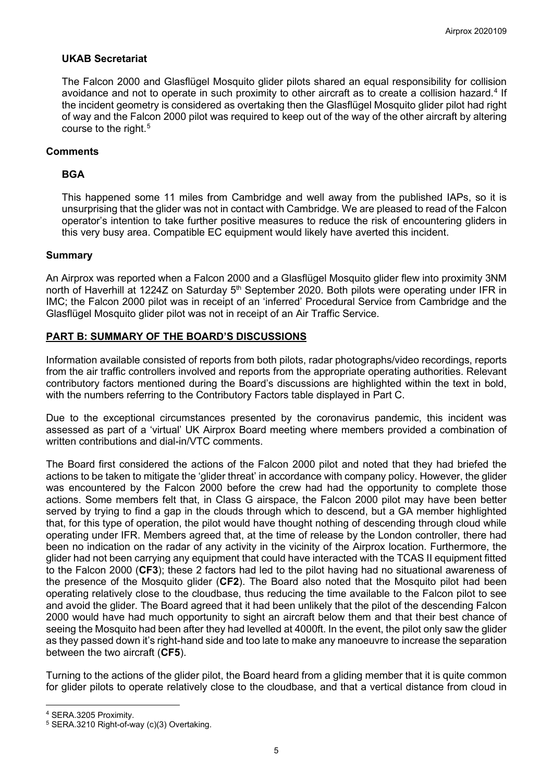# **UKAB Secretariat**

The Falcon 2000 and Glasflügel Mosquito glider pilots shared an equal responsibility for collision avoidance and not to operate in such proximity to other aircraft as to create a collision hazard. [4](#page-4-0) If the incident geometry is considered as overtaking then the Glasflügel Mosquito glider pilot had right of way and the Falcon 2000 pilot was required to keep out of the way of the other aircraft by altering course to the right. [5](#page-4-1)

## **Comments**

## **BGA**

This happened some 11 miles from Cambridge and well away from the published IAPs, so it is unsurprising that the glider was not in contact with Cambridge. We are pleased to read of the Falcon operator's intention to take further positive measures to reduce the risk of encountering gliders in this very busy area. Compatible EC equipment would likely have averted this incident.

## **Summary**

An Airprox was reported when a Falcon 2000 and a Glasflügel Mosquito glider flew into proximity 3NM north of Haverhill at 1224Z on Saturday 5<sup>th</sup> September 2020. Both pilots were operating under IFR in IMC; the Falcon 2000 pilot was in receipt of an 'inferred' Procedural Service from Cambridge and the Glasflügel Mosquito glider pilot was not in receipt of an Air Traffic Service.

# **PART B: SUMMARY OF THE BOARD'S DISCUSSIONS**

Information available consisted of reports from both pilots, radar photographs/video recordings, reports from the air traffic controllers involved and reports from the appropriate operating authorities. Relevant contributory factors mentioned during the Board's discussions are highlighted within the text in bold, with the numbers referring to the Contributory Factors table displayed in Part C.

Due to the exceptional circumstances presented by the coronavirus pandemic, this incident was assessed as part of a 'virtual' UK Airprox Board meeting where members provided a combination of written contributions and dial-in/VTC comments.

The Board first considered the actions of the Falcon 2000 pilot and noted that they had briefed the actions to be taken to mitigate the 'glider threat' in accordance with company policy. However, the glider was encountered by the Falcon 2000 before the crew had had the opportunity to complete those actions. Some members felt that, in Class G airspace, the Falcon 2000 pilot may have been better served by trying to find a gap in the clouds through which to descend, but a GA member highlighted that, for this type of operation, the pilot would have thought nothing of descending through cloud while operating under IFR. Members agreed that, at the time of release by the London controller, there had been no indication on the radar of any activity in the vicinity of the Airprox location. Furthermore, the glider had not been carrying any equipment that could have interacted with the TCAS II equipment fitted to the Falcon 2000 (**CF3**); these 2 factors had led to the pilot having had no situational awareness of the presence of the Mosquito glider (**CF2**). The Board also noted that the Mosquito pilot had been operating relatively close to the cloudbase, thus reducing the time available to the Falcon pilot to see and avoid the glider. The Board agreed that it had been unlikely that the pilot of the descending Falcon 2000 would have had much opportunity to sight an aircraft below them and that their best chance of seeing the Mosquito had been after they had levelled at 4000ft. In the event, the pilot only saw the glider as they passed down it's right-hand side and too late to make any manoeuvre to increase the separation between the two aircraft (**CF5**).

Turning to the actions of the glider pilot, the Board heard from a gliding member that it is quite common for glider pilots to operate relatively close to the cloudbase, and that a vertical distance from cloud in

<span id="page-4-0"></span><sup>4</sup> SERA.3205 Proximity.

<span id="page-4-1"></span><sup>5</sup> SERA.3210 Right-of-way (c)(3) Overtaking.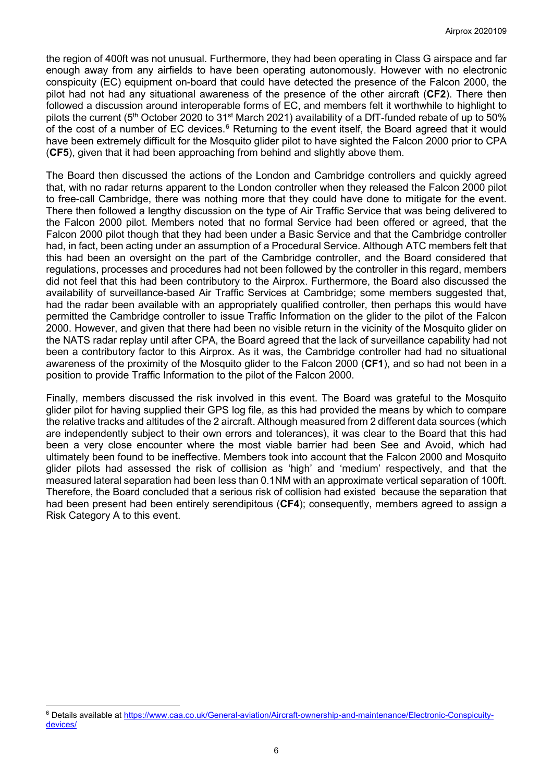the region of 400ft was not unusual. Furthermore, they had been operating in Class G airspace and far enough away from any airfields to have been operating autonomously. However with no electronic conspicuity (EC) equipment on-board that could have detected the presence of the Falcon 2000, the pilot had not had any situational awareness of the presence of the other aircraft (**CF2**). There then followed a discussion around interoperable forms of EC, and members felt it worthwhile to highlight to pilots the current (5<sup>th</sup> October 2020 to 31<sup>st</sup> March 2021) availability of a DfT-funded rebate of up to 50% of the cost of a number of EC devices.<sup>[6](#page-5-0)</sup> Returning to the event itself, the Board agreed that it would have been extremely difficult for the Mosquito glider pilot to have sighted the Falcon 2000 prior to CPA (**CF5**), given that it had been approaching from behind and slightly above them.

The Board then discussed the actions of the London and Cambridge controllers and quickly agreed that, with no radar returns apparent to the London controller when they released the Falcon 2000 pilot to free-call Cambridge, there was nothing more that they could have done to mitigate for the event. There then followed a lengthy discussion on the type of Air Traffic Service that was being delivered to the Falcon 2000 pilot. Members noted that no formal Service had been offered or agreed, that the Falcon 2000 pilot though that they had been under a Basic Service and that the Cambridge controller had, in fact, been acting under an assumption of a Procedural Service. Although ATC members felt that this had been an oversight on the part of the Cambridge controller, and the Board considered that regulations, processes and procedures had not been followed by the controller in this regard, members did not feel that this had been contributory to the Airprox. Furthermore, the Board also discussed the availability of surveillance-based Air Traffic Services at Cambridge; some members suggested that, had the radar been available with an appropriately qualified controller, then perhaps this would have permitted the Cambridge controller to issue Traffic Information on the glider to the pilot of the Falcon 2000. However, and given that there had been no visible return in the vicinity of the Mosquito glider on the NATS radar replay until after CPA, the Board agreed that the lack of surveillance capability had not been a contributory factor to this Airprox. As it was, the Cambridge controller had had no situational awareness of the proximity of the Mosquito glider to the Falcon 2000 (**CF1**), and so had not been in a position to provide Traffic Information to the pilot of the Falcon 2000.

Finally, members discussed the risk involved in this event. The Board was grateful to the Mosquito glider pilot for having supplied their GPS log file, as this had provided the means by which to compare the relative tracks and altitudes of the 2 aircraft. Although measured from 2 different data sources (which are independently subject to their own errors and tolerances), it was clear to the Board that this had been a very close encounter where the most viable barrier had been See and Avoid, which had ultimately been found to be ineffective. Members took into account that the Falcon 2000 and Mosquito glider pilots had assessed the risk of collision as 'high' and 'medium' respectively, and that the measured lateral separation had been less than 0.1NM with an approximate vertical separation of 100ft. Therefore, the Board concluded that a serious risk of collision had existed because the separation that had been present had been entirely serendipitous (**CF4**); consequently, members agreed to assign a Risk Category A to this event.

<span id="page-5-0"></span><sup>6</sup> Details available a[t https://www.caa.co.uk/General-aviation/Aircraft-ownership-and-maintenance/Electronic-Conspicuity](https://www.caa.co.uk/General-aviation/Aircraft-ownership-and-maintenance/Electronic-Conspicuity-devices/)[devices/](https://www.caa.co.uk/General-aviation/Aircraft-ownership-and-maintenance/Electronic-Conspicuity-devices/)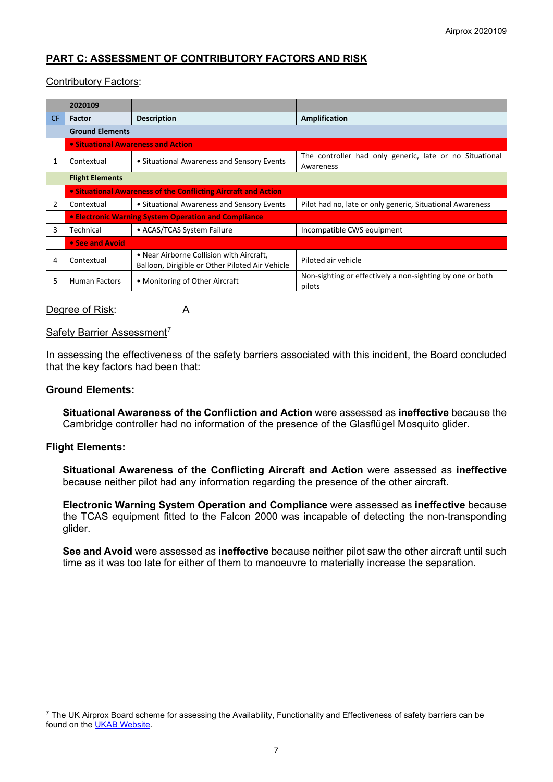# **PART C: ASSESSMENT OF CONTRIBUTORY FACTORS AND RISK**

## Contributory Factors:

|           | 2020109                                                        |                                                 |                                                                     |
|-----------|----------------------------------------------------------------|-------------------------------------------------|---------------------------------------------------------------------|
| <b>CF</b> | <b>Factor</b>                                                  | <b>Description</b>                              | Amplification                                                       |
|           | <b>Ground Elements</b>                                         |                                                 |                                                                     |
|           | • Situational Awareness and Action                             |                                                 |                                                                     |
|           | Contextual                                                     | • Situational Awareness and Sensory Events      | The controller had only generic, late or no Situational             |
|           |                                                                |                                                 | Awareness                                                           |
|           | <b>Flight Elements</b>                                         |                                                 |                                                                     |
|           | • Situational Awareness of the Conflicting Aircraft and Action |                                                 |                                                                     |
| 2         | Contextual                                                     | • Situational Awareness and Sensory Events      | Pilot had no, late or only generic, Situational Awareness           |
|           | • Electronic Warning System Operation and Compliance           |                                                 |                                                                     |
| 3         | Technical                                                      | • ACAS/TCAS System Failure                      | Incompatible CWS equipment                                          |
|           | • See and Avoid                                                |                                                 |                                                                     |
| 4         | Contextual                                                     | • Near Airborne Collision with Aircraft,        | Piloted air vehicle                                                 |
|           |                                                                | Balloon, Dirigible or Other Piloted Air Vehicle |                                                                     |
| 5         | Human Factors                                                  | • Monitoring of Other Aircraft                  | Non-sighting or effectively a non-sighting by one or both<br>pilots |

#### Degree of Risk: A

#### Safety Barrier Assessment<sup>[7](#page-6-0)</sup>

In assessing the effectiveness of the safety barriers associated with this incident, the Board concluded that the key factors had been that:

#### **Ground Elements:**

**Situational Awareness of the Confliction and Action** were assessed as **ineffective** because the Cambridge controller had no information of the presence of the Glasflügel Mosquito glider.

#### **Flight Elements:**

**Situational Awareness of the Conflicting Aircraft and Action** were assessed as **ineffective** because neither pilot had any information regarding the presence of the other aircraft.

**Electronic Warning System Operation and Compliance** were assessed as **ineffective** because the TCAS equipment fitted to the Falcon 2000 was incapable of detecting the non-transponding glider.

**See and Avoid** were assessed as **ineffective** because neither pilot saw the other aircraft until such time as it was too late for either of them to manoeuvre to materially increase the separation.

<span id="page-6-0"></span> $7$  The UK Airprox Board scheme for assessing the Availability, Functionality and Effectiveness of safety barriers can be found on the [UKAB Website.](http://www.airproxboard.org.uk/Learn-more/Airprox-Barrier-Assessment/)